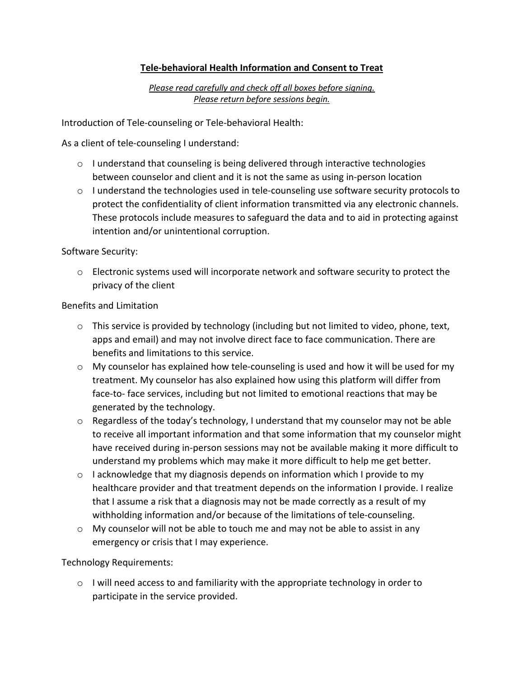# **Tele-behavioral Health Information and Consent to Treat**

*Please read carefully and check off all boxes before signing. Please return before sessions begin.*

Introduction of Tele-counseling or Tele-behavioral Health:

As a client of tele-counseling I understand:

- $\circ$  I understand that counseling is being delivered through interactive technologies between counselor and client and it is not the same as using in-person location
- $\circ$  I understand the technologies used in tele-counseling use software security protocols to protect the confidentiality of client information transmitted via any electronic channels. These protocols include measures to safeguard the data and to aid in protecting against intention and/or unintentional corruption.

Software Security:

 $\circ$  Electronic systems used will incorporate network and software security to protect the privacy of the client

Benefits and Limitation

- $\circ$  This service is provided by technology (including but not limited to video, phone, text, apps and email) and may not involve direct face to face communication. There are benefits and limitations to this service.
- o My counselor has explained how tele-counseling is used and how it will be used for my treatment. My counselor has also explained how using this platform will differ from face-to- face services, including but not limited to emotional reactions that may be generated by the technology.
- o Regardless of the today's technology, I understand that my counselor may not be able to receive all important information and that some information that my counselor might have received during in-person sessions may not be available making it more difficult to understand my problems which may make it more difficult to help me get better.
- o I acknowledge that my diagnosis depends on information which I provide to my healthcare provider and that treatment depends on the information I provide. I realize that I assume a risk that a diagnosis may not be made correctly as a result of my withholding information and/or because of the limitations of tele-counseling.
- $\circ$  My counselor will not be able to touch me and may not be able to assist in any emergency or crisis that I may experience.

Technology Requirements:

o I will need access to and familiarity with the appropriate technology in order to participate in the service provided.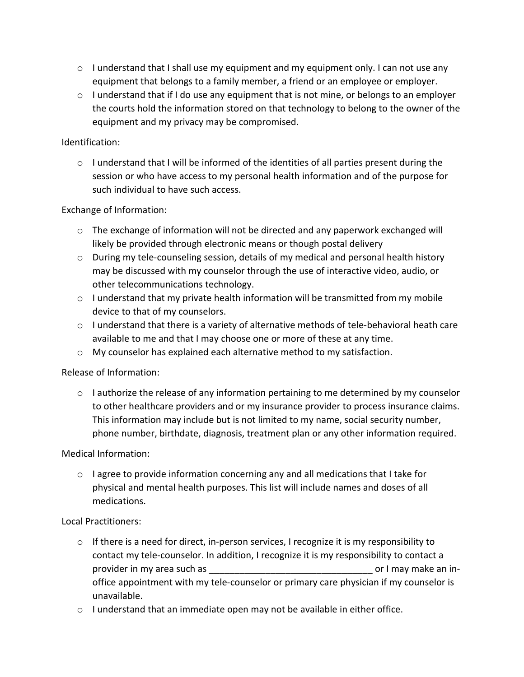- $\circ$  I understand that I shall use my equipment and my equipment only. I can not use any equipment that belongs to a family member, a friend or an employee or employer.
- $\circ$  I understand that if I do use any equipment that is not mine, or belongs to an employer the courts hold the information stored on that technology to belong to the owner of the equipment and my privacy may be compromised.

## Identification:

 $\circ$  I understand that I will be informed of the identities of all parties present during the session or who have access to my personal health information and of the purpose for such individual to have such access.

## Exchange of Information:

- $\circ$  The exchange of information will not be directed and any paperwork exchanged will likely be provided through electronic means or though postal delivery
- o During my tele-counseling session, details of my medical and personal health history may be discussed with my counselor through the use of interactive video, audio, or other telecommunications technology.
- $\circ$  I understand that my private health information will be transmitted from my mobile device to that of my counselors.
- $\circ$  I understand that there is a variety of alternative methods of tele-behavioral heath care available to me and that I may choose one or more of these at any time.
- o My counselor has explained each alternative method to my satisfaction.

# Release of Information:

 $\circ$  I authorize the release of any information pertaining to me determined by my counselor to other healthcare providers and or my insurance provider to process insurance claims. This information may include but is not limited to my name, social security number, phone number, birthdate, diagnosis, treatment plan or any other information required.

### Medical Information:

 $\circ$  I agree to provide information concerning any and all medications that I take for physical and mental health purposes. This list will include names and doses of all medications.

### Local Practitioners:

- $\circ$  If there is a need for direct, in-person services, I recognize it is my responsibility to contact my tele-counselor. In addition, I recognize it is my responsibility to contact a provider in my area such as  $\blacksquare$ office appointment with my tele-counselor or primary care physician if my counselor is unavailable.
- $\circ$  I understand that an immediate open may not be available in either office.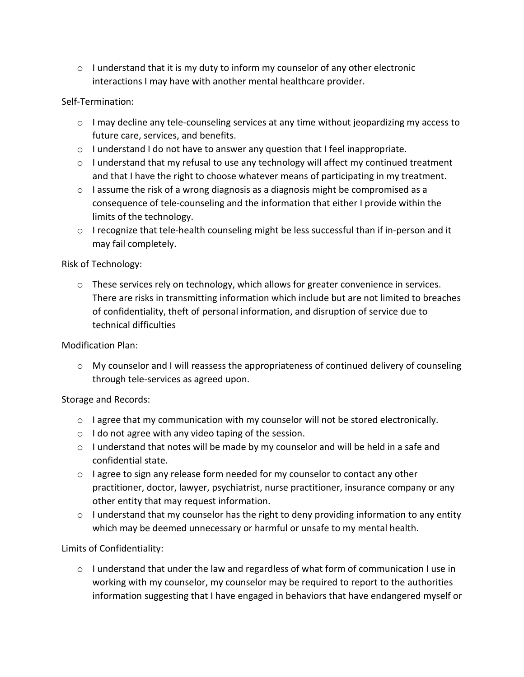$\circ$  I understand that it is my duty to inform my counselor of any other electronic interactions I may have with another mental healthcare provider.

## Self-Termination:

- o I may decline any tele-counseling services at any time without jeopardizing my access to future care, services, and benefits.
- $\circ$  I understand I do not have to answer any question that I feel inappropriate.
- o I understand that my refusal to use any technology will affect my continued treatment and that I have the right to choose whatever means of participating in my treatment.
- $\circ$  I assume the risk of a wrong diagnosis as a diagnosis might be compromised as a consequence of tele-counseling and the information that either I provide within the limits of the technology.
- o I recognize that tele-health counseling might be less successful than if in-person and it may fail completely.

## Risk of Technology:

o These services rely on technology, which allows for greater convenience in services. There are risks in transmitting information which include but are not limited to breaches of confidentiality, theft of personal information, and disruption of service due to technical difficulties

### Modification Plan:

o My counselor and I will reassess the appropriateness of continued delivery of counseling through tele-services as agreed upon.

### Storage and Records:

- $\circ$  I agree that my communication with my counselor will not be stored electronically.
- o I do not agree with any video taping of the session.
- o I understand that notes will be made by my counselor and will be held in a safe and confidential state.
- $\circ$  I agree to sign any release form needed for my counselor to contact any other practitioner, doctor, lawyer, psychiatrist, nurse practitioner, insurance company or any other entity that may request information.
- o I understand that my counselor has the right to deny providing information to any entity which may be deemed unnecessary or harmful or unsafe to my mental health.

# Limits of Confidentiality:

o I understand that under the law and regardless of what form of communication I use in working with my counselor, my counselor may be required to report to the authorities information suggesting that I have engaged in behaviors that have endangered myself or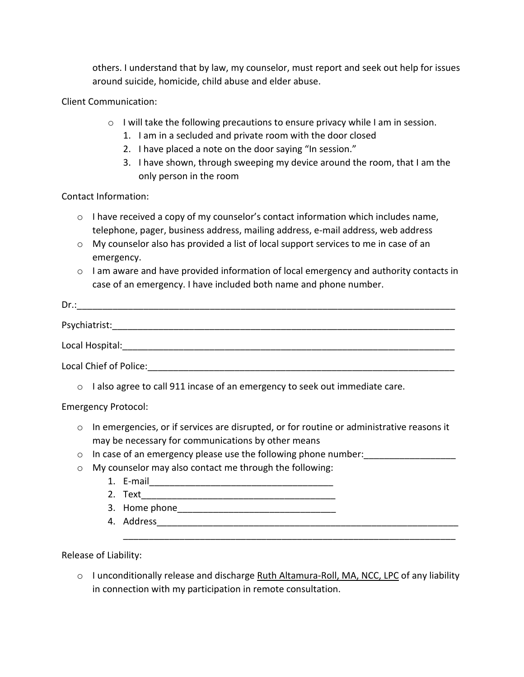others. I understand that by law, my counselor, must report and seek out help for issues around suicide, homicide, child abuse and elder abuse.

Client Communication:

- o I will take the following precautions to ensure privacy while I am in session.
	- 1. I am in a secluded and private room with the door closed
	- 2. I have placed a note on the door saying "In session."
	- 3. I have shown, through sweeping my device around the room, that I am the only person in the room

## Contact Information:

- $\circ$  I have received a copy of my counselor's contact information which includes name, telephone, pager, business address, mailing address, e-mail address, web address
- o My counselor also has provided a list of local support services to me in case of an emergency.
- $\circ$  I am aware and have provided information of local emergency and authority contacts in case of an emergency. I have included both name and phone number.

| Dr.:                   |  |  |
|------------------------|--|--|
| Psychiatrist:          |  |  |
| Local Hospital:        |  |  |
| Local Chief of Police: |  |  |

o I also agree to call 911 incase of an emergency to seek out immediate care.

Emergency Protocol:

- $\circ$  In emergencies, or if services are disrupted, or for routine or administrative reasons it may be necessary for communications by other means
- $\circ$  In case of an emergency please use the following phone number:
- o My counselor may also contact me through the following:
	- 1. E-mail\_\_\_\_\_\_\_\_\_\_\_\_\_\_\_\_\_\_\_\_\_\_\_\_\_\_\_\_\_\_\_\_\_\_\_\_
	- 2. Text
	- 3. Home phone
	- 4. Address\_\_\_\_\_\_\_\_\_\_\_\_\_\_\_\_\_\_\_\_\_\_\_\_\_\_\_\_\_\_\_\_\_\_\_\_\_\_\_\_\_\_\_\_\_\_\_\_\_\_\_\_\_\_\_\_\_\_\_

Release of Liability:

 $\circ$  I unconditionally release and discharge Ruth Altamura-Roll, MA, NCC, LPC of any liability in connection with my participation in remote consultation.

\_\_\_\_\_\_\_\_\_\_\_\_\_\_\_\_\_\_\_\_\_\_\_\_\_\_\_\_\_\_\_\_\_\_\_\_\_\_\_\_\_\_\_\_\_\_\_\_\_\_\_\_\_\_\_\_\_\_\_\_\_\_\_\_\_